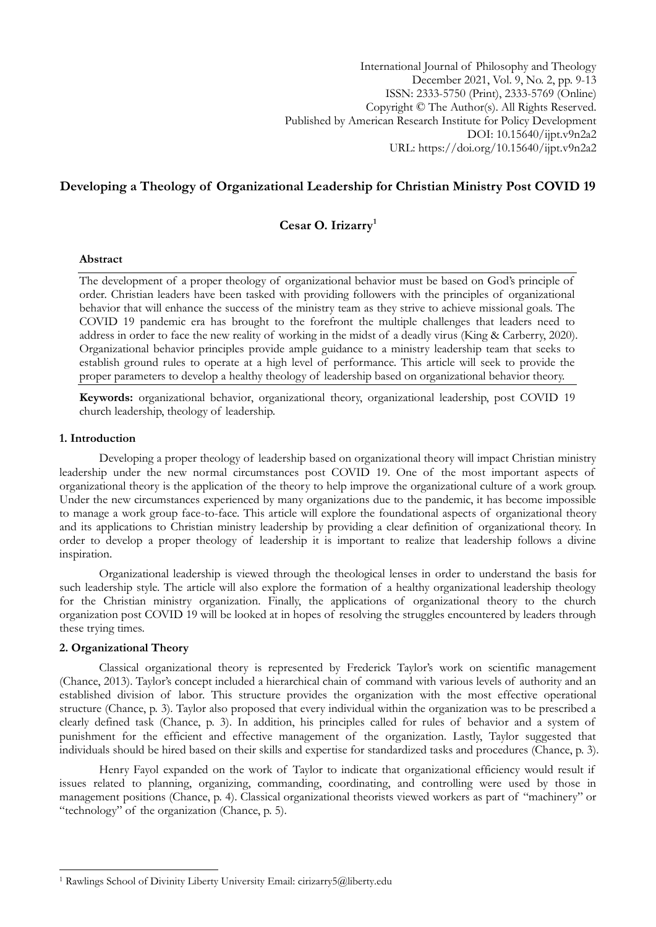International Journal of Philosophy and Theology December 2021, Vol. 9, No. 2, pp. 9-13 ISSN: 2333-5750 (Print), 2333-5769 (Online) Copyright © The Author(s). All Rights Reserved. Published by American Research Institute for Policy Development DOI: 10.15640/ijpt.v9n2a2 URL: https://doi.org/10.15640/ijpt.v9n2a2

# **Developing a Theology of Organizational Leadership for Christian Ministry Post COVID 19**

# **Cesar O. Irizarry<sup>1</sup>**

# **Abstract**

The development of a proper theology of organizational behavior must be based on God's principle of order. Christian leaders have been tasked with providing followers with the principles of organizational behavior that will enhance the success of the ministry team as they strive to achieve missional goals. The COVID 19 pandemic era has brought to the forefront the multiple challenges that leaders need to address in order to face the new reality of working in the midst of a deadly virus (King & Carberry, 2020). Organizational behavior principles provide ample guidance to a ministry leadership team that seeks to establish ground rules to operate at a high level of performance. This article will seek to provide the proper parameters to develop a healthy theology of leadership based on organizational behavior theory.

**Keywords:** organizational behavior, organizational theory, organizational leadership, post COVID 19 church leadership, theology of leadership.

### **1. Introduction**

Developing a proper theology of leadership based on organizational theory will impact Christian ministry leadership under the new normal circumstances post COVID 19. One of the most important aspects of organizational theory is the application of the theory to help improve the organizational culture of a work group. Under the new circumstances experienced by many organizations due to the pandemic, it has become impossible to manage a work group face-to-face. This article will explore the foundational aspects of organizational theory and its applications to Christian ministry leadership by providing a clear definition of organizational theory. In order to develop a proper theology of leadership it is important to realize that leadership follows a divine inspiration.

Organizational leadership is viewed through the theological lenses in order to understand the basis for such leadership style. The article will also explore the formation of a healthy organizational leadership theology for the Christian ministry organization. Finally, the applications of organizational theory to the church organization post COVID 19 will be looked at in hopes of resolving the struggles encountered by leaders through these trying times.

#### **2. Organizational Theory**

1

Classical organizational theory is represented by Frederick Taylor's work on scientific management (Chance, 2013). Taylor's concept included a hierarchical chain of command with various levels of authority and an established division of labor. This structure provides the organization with the most effective operational structure (Chance, p. 3). Taylor also proposed that every individual within the organization was to be prescribed a clearly defined task (Chance, p. 3). In addition, his principles called for rules of behavior and a system of punishment for the efficient and effective management of the organization. Lastly, Taylor suggested that individuals should be hired based on their skills and expertise for standardized tasks and procedures (Chance, p. 3).

Henry Fayol expanded on the work of Taylor to indicate that organizational efficiency would result if issues related to planning, organizing, commanding, coordinating, and controlling were used by those in management positions (Chance, p. 4). Classical organizational theorists viewed workers as part of "machinery" or "technology" of the organization (Chance, p. 5).

<sup>1</sup> Rawlings School of Divinity Liberty University Email: cirizarry5@liberty.edu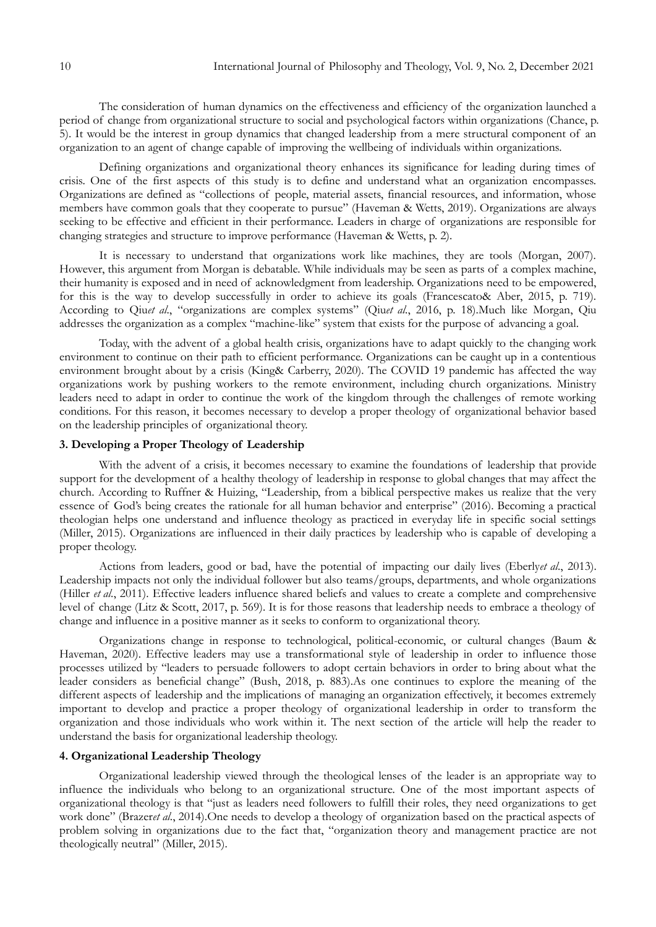The consideration of human dynamics on the effectiveness and efficiency of the organization launched a period of change from organizational structure to social and psychological factors within organizations (Chance, p. 5). It would be the interest in group dynamics that changed leadership from a mere structural component of an organization to an agent of change capable of improving the wellbeing of individuals within organizations.

Defining organizations and organizational theory enhances its significance for leading during times of crisis. One of the first aspects of this study is to define and understand what an organization encompasses. Organizations are defined as "collections of people, material assets, financial resources, and information, whose members have common goals that they cooperate to pursue" (Haveman & Wetts, 2019). Organizations are always seeking to be effective and efficient in their performance. Leaders in charge of organizations are responsible for changing strategies and structure to improve performance (Haveman & Wetts, p. 2).

It is necessary to understand that organizations work like machines, they are tools (Morgan, 2007). However, this argument from Morgan is debatable. While individuals may be seen as parts of a complex machine, their humanity is exposed and in need of acknowledgment from leadership. Organizations need to be empowered, for this is the way to develop successfully in order to achieve its goals (Francescato& Aber, 2015, p. 719). According to Qiu*et al*., "organizations are complex systems" (Qiu*et al*., 2016, p. 18).Much like Morgan, Qiu addresses the organization as a complex "machine-like" system that exists for the purpose of advancing a goal.

Today, with the advent of a global health crisis, organizations have to adapt quickly to the changing work environment to continue on their path to efficient performance. Organizations can be caught up in a contentious environment brought about by a crisis (King& Carberry, 2020). The COVID 19 pandemic has affected the way organizations work by pushing workers to the remote environment, including church organizations. Ministry leaders need to adapt in order to continue the work of the kingdom through the challenges of remote working conditions. For this reason, it becomes necessary to develop a proper theology of organizational behavior based on the leadership principles of organizational theory.

# **3. Developing a Proper Theology of Leadership**

With the advent of a crisis, it becomes necessary to examine the foundations of leadership that provide support for the development of a healthy theology of leadership in response to global changes that may affect the church. According to Ruffner & Huizing, "Leadership, from a biblical perspective makes us realize that the very essence of God's being creates the rationale for all human behavior and enterprise" (2016). Becoming a practical theologian helps one understand and influence theology as practiced in everyday life in specific social settings (Miller, 2015). Organizations are influenced in their daily practices by leadership who is capable of developing a proper theology.

Actions from leaders, good or bad, have the potential of impacting our daily lives (Eberly*et al*., 2013). Leadership impacts not only the individual follower but also teams/groups, departments, and whole organizations (Hiller *et al*., 2011). Effective leaders influence shared beliefs and values to create a complete and comprehensive level of change (Litz & Scott, 2017, p. 569). It is for those reasons that leadership needs to embrace a theology of change and influence in a positive manner as it seeks to conform to organizational theory.

Organizations change in response to technological, political-economic, or cultural changes (Baum & Haveman, 2020). Effective leaders may use a transformational style of leadership in order to influence those processes utilized by "leaders to persuade followers to adopt certain behaviors in order to bring about what the leader considers as beneficial change" (Bush, 2018, p. 883).As one continues to explore the meaning of the different aspects of leadership and the implications of managing an organization effectively, it becomes extremely important to develop and practice a proper theology of organizational leadership in order to transform the organization and those individuals who work within it. The next section of the article will help the reader to understand the basis for organizational leadership theology.

# **4. Organizational Leadership Theology**

Organizational leadership viewed through the theological lenses of the leader is an appropriate way to influence the individuals who belong to an organizational structure. One of the most important aspects of organizational theology is that "just as leaders need followers to fulfill their roles, they need organizations to get work done" (Brazer*et al*., 2014).One needs to develop a theology of organization based on the practical aspects of problem solving in organizations due to the fact that, "organization theory and management practice are not theologically neutral" (Miller, 2015).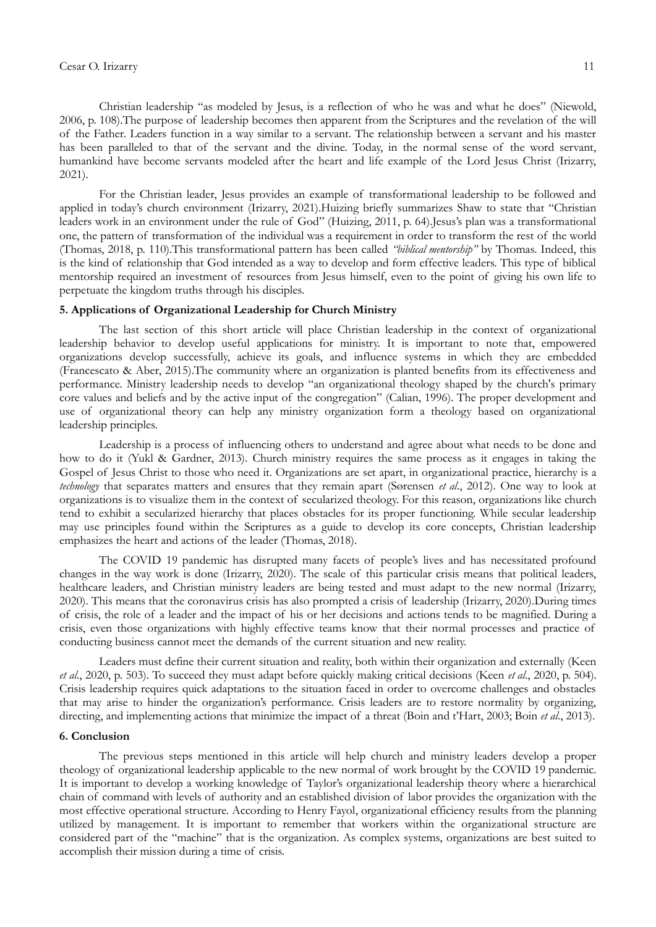#### Cesar O. Irizarry 11

Christian leadership "as modeled by Jesus, is a reflection of who he was and what he does" (Niewold, 2006, p. 108).The purpose of leadership becomes then apparent from the Scriptures and the revelation of the will of the Father. Leaders function in a way similar to a servant. The relationship between a servant and his master has been paralleled to that of the servant and the divine. Today, in the normal sense of the word servant, humankind have become servants modeled after the heart and life example of the Lord Jesus Christ (Irizarry, 2021).

For the Christian leader, Jesus provides an example of transformational leadership to be followed and applied in today's church environment (Irizarry, 2021).Huizing briefly summarizes Shaw to state that "Christian leaders work in an environment under the rule of God" (Huizing, 2011, p. 64).Jesus's plan was a transformational one, the pattern of transformation of the individual was a requirement in order to transform the rest of the world (Thomas, 2018, p. 110).This transformational pattern has been called *"biblical mentorship"* by Thomas. Indeed, this is the kind of relationship that God intended as a way to develop and form effective leaders. This type of biblical mentorship required an investment of resources from Jesus himself, even to the point of giving his own life to perpetuate the kingdom truths through his disciples.

# **5. Applications of Organizational Leadership for Church Ministry**

The last section of this short article will place Christian leadership in the context of organizational leadership behavior to develop useful applications for ministry. It is important to note that, empowered organizations develop successfully, achieve its goals, and influence systems in which they are embedded (Francescato & Aber, 2015).The community where an organization is planted benefits from its effectiveness and performance. Ministry leadership needs to develop "an organizational theology shaped by the church's primary core values and beliefs and by the active input of the congregation" (Calian, 1996). The proper development and use of organizational theory can help any ministry organization form a theology based on organizational leadership principles.

Leadership is a process of influencing others to understand and agree about what needs to be done and how to do it (Yukl & Gardner, 2013). Church ministry requires the same process as it engages in taking the Gospel of Jesus Christ to those who need it. Organizations are set apart, in organizational practice, hierarchy is a *technology* that separates matters and ensures that they remain apart (Sørensen *et al*., 2012). One way to look at organizations is to visualize them in the context of secularized theology. For this reason, organizations like church tend to exhibit a secularized hierarchy that places obstacles for its proper functioning. While secular leadership may use principles found within the Scriptures as a guide to develop its core concepts, Christian leadership emphasizes the heart and actions of the leader (Thomas, 2018).

The COVID 19 pandemic has disrupted many facets of people's lives and has necessitated profound changes in the way work is done (Irizarry, 2020). The scale of this particular crisis means that political leaders, healthcare leaders, and Christian ministry leaders are being tested and must adapt to the new normal (Irizarry, 2020). This means that the coronavirus crisis has also prompted a crisis of leadership (Irizarry, 2020).During times of crisis, the role of a leader and the impact of his or her decisions and actions tends to be magnified. During a crisis, even those organizations with highly effective teams know that their normal processes and practice of conducting business cannot meet the demands of the current situation and new reality.

Leaders must define their current situation and reality, both within their organization and externally (Keen *et al*., 2020, p. 503). To succeed they must adapt before quickly making critical decisions (Keen *et al*., 2020, p. 504). Crisis leadership requires quick adaptations to the situation faced in order to overcome challenges and obstacles that may arise to hinder the organization's performance. Crisis leaders are to restore normality by organizing, directing, and implementing actions that minimize the impact of a threat (Boin and t'Hart, 2003; Boin *et al*., 2013).

#### **6. Conclusion**

The previous steps mentioned in this article will help church and ministry leaders develop a proper theology of organizational leadership applicable to the new normal of work brought by the COVID 19 pandemic. It is important to develop a working knowledge of Taylor's organizational leadership theory where a hierarchical chain of command with levels of authority and an established division of labor provides the organization with the most effective operational structure. According to Henry Fayol, organizational efficiency results from the planning utilized by management. It is important to remember that workers within the organizational structure are considered part of the "machine" that is the organization. As complex systems, organizations are best suited to accomplish their mission during a time of crisis.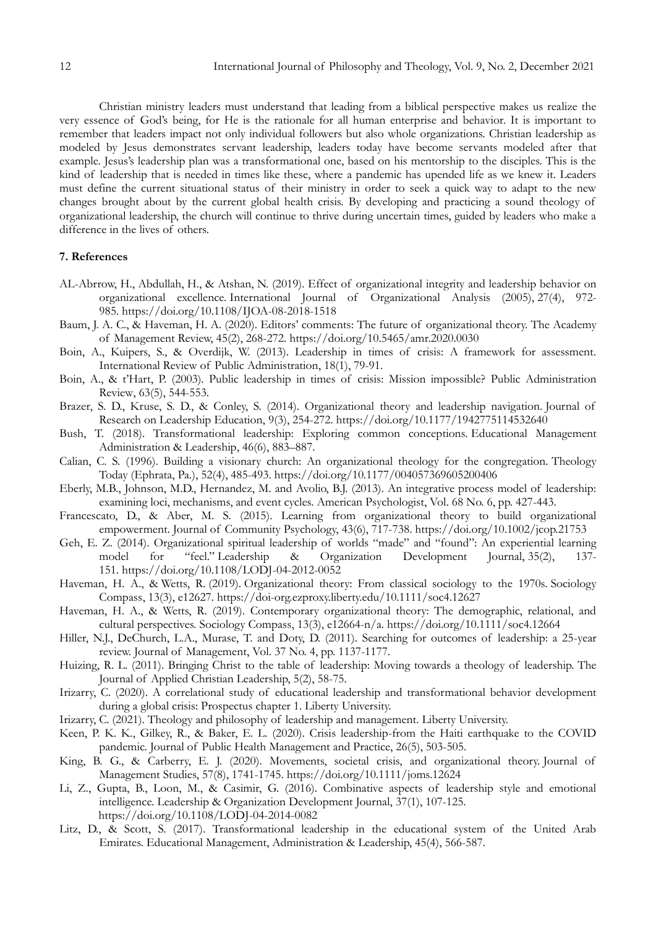Christian ministry leaders must understand that leading from a biblical perspective makes us realize the very essence of God's being, for He is the rationale for all human enterprise and behavior. It is important to remember that leaders impact not only individual followers but also whole organizations. Christian leadership as modeled by Jesus demonstrates servant leadership, leaders today have become servants modeled after that example. Jesus's leadership plan was a transformational one, based on his mentorship to the disciples. This is the kind of leadership that is needed in times like these, where a pandemic has upended life as we knew it. Leaders must define the current situational status of their ministry in order to seek a quick way to adapt to the new changes brought about by the current global health crisis. By developing and practicing a sound theology of organizational leadership, the church will continue to thrive during uncertain times, guided by leaders who make a difference in the lives of others.

#### **7. References**

- AL-Abrrow, H., Abdullah, H., & Atshan, N. (2019). Effect of organizational integrity and leadership behavior on organizational excellence. International Journal of Organizational Analysis (2005), 27(4), 972- 985. [https://doi.org/10.1108/IJOA-08-2018-1518](https://nam04.safelinks.protection.outlook.com/?url=https%3A%2F%2Fdoi.org%2F10.1108%2FIJOA-08-2018-1518&data=04%7C01%7Ccirizarry5%40liberty.edu%7C1bb09ad9790d4be2895e08d973c24d32%7Cbaf8218eb3024465a9934a39c97251b2%7C0%7C0%7C637668100640671791%7CUnknown%7CTWFpbGZsb3d8eyJWIjoiMC4wLjAwMDAiLCJQIjoiV2luMzIiLCJBTiI6Ik1haWwiLCJXVCI6Mn0%3D%7C1000&sdata=X7ZsG1obCmjaxYcBN%2BqrxYX8BDVo%2FB8DyGPeJogW2TM%3D&reserved=0)
- Baum, J. A. C., & Haveman, H. A. (2020). Editors' comments: The future of organizational theory. The Academy of Management Review, 45(2), 268-272. [https://doi.org/10.5465/amr.2020.0030](https://nam04.safelinks.protection.outlook.com/?url=https%3A%2F%2Fdoi.org%2F10.5465%2Famr.2020.0030&data=04%7C01%7Ccirizarry5%40liberty.edu%7C1bb09ad9790d4be2895e08d973c24d32%7Cbaf8218eb3024465a9934a39c97251b2%7C0%7C0%7C637668100641781146%7CUnknown%7CTWFpbGZsb3d8eyJWIjoiMC4wLjAwMDAiLCJQIjoiV2luMzIiLCJBTiI6Ik1haWwiLCJXVCI6Mn0%3D%7C1000&sdata=nwW3HNBWHqpichbQzAHLr08Kl08pLz%2FosC4jEOnfng8%3D&reserved=0)
- Boin, A., Kuipers, S., & Overdijk, W. (2013). Leadership in times of crisis: A framework for assessment. International Review of Public Administration, 18(1), 79-91.
- Boin, A., & t'Hart, P. (2003). Public leadership in times of crisis: Mission impossible? Public Administration Review, 63(5), 544-553.
- Brazer, S. D., Kruse, S. D., & Conley, S. (2014). Organizational theory and leadership navigation. Journal of Research on Leadership Education, 9(3), 254-272. [https://doi.org/10.1177/1942775114532640](https://nam04.safelinks.protection.outlook.com/?url=https%3A%2F%2Fdoi.org%2F10.1177%2F1942775114532640&data=04%7C01%7Ccirizarry5%40liberty.edu%7C1bb09ad9790d4be2895e08d973c24d32%7Cbaf8218eb3024465a9934a39c97251b2%7C0%7C0%7C637668100641831114%7CUnknown%7CTWFpbGZsb3d8eyJWIjoiMC4wLjAwMDAiLCJQIjoiV2luMzIiLCJBTiI6Ik1haWwiLCJXVCI6Mn0%3D%7C1000&sdata=OgItp1QkLJjhcPLKe1xL1cIqPRYfJN3H0kRAx2Q%2F36M%3D&reserved=0)
- Bush, T. (2018). Transformational leadership: Exploring common conceptions. Educational Management Administration & Leadership, 46(6), 883–887.
- Calian, C. S. (1996). Building a visionary church: An organizational theology for the congregation. Theology Today (Ephrata, Pa.), 52(4), 485-493. [https://doi.org/10.1177/004057369605200406](https://nam04.safelinks.protection.outlook.com/?url=https%3A%2F%2Fdoi.org%2F10.1177%2F004057369605200406&data=04%7C01%7Ccirizarry5%40liberty.edu%7C1bb09ad9790d4be2895e08d973c24d32%7Cbaf8218eb3024465a9934a39c97251b2%7C0%7C0%7C637668100641601246%7CUnknown%7CTWFpbGZsb3d8eyJWIjoiMC4wLjAwMDAiLCJQIjoiV2luMzIiLCJBTiI6Ik1haWwiLCJXVCI6Mn0%3D%7C1000&sdata=72FP5pcVqw%2BI02TqQX3vsYgFneRQwmemCInzLYNY14w%3D&reserved=0)
- Eberly, M.B., Johnson, M.D., Hernandez, M. and Avolio, B.J. (2013). An integrative process model of leadership: examining loci, mechanisms, and event cycles. American Psychologist, Vol. 68 No. 6, pp. 427-443.
- Francescato, D., & Aber, M. S. (2015). Learning from organizational theory to build organizational empowerment. Journal of Community Psychology, 43(6), 717-738. [https://doi.org/10.1002/jcop.21753](https://nam04.safelinks.protection.outlook.com/?url=https%3A%2F%2Fdoi.org%2F10.1002%2Fjcop.21753&data=04%7C01%7Ccirizarry5%40liberty.edu%7C1bb09ad9790d4be2895e08d973c24d32%7Cbaf8218eb3024465a9934a39c97251b2%7C0%7C0%7C637668100641661216%7CUnknown%7CTWFpbGZsb3d8eyJWIjoiMC4wLjAwMDAiLCJQIjoiV2luMzIiLCJBTiI6Ik1haWwiLCJXVCI6Mn0%3D%7C1000&sdata=5GDua2%2BiV%2FVFR9RUTnddfpL22e9ksFd1tmvP8Xtw9Tc%3D&reserved=0)
- Geh, E. Z. (2014). Organizational spiritual leadership of worlds "made" and "found": An experiential learning model for "feel." Leadership & Organization Development Journal, 35(2), 137- 151. [https://doi.org/10.1108/LODJ-04-2012-0052](https://nam04.safelinks.protection.outlook.com/?url=https%3A%2F%2Fdoi.org%2F10.1108%2FLODJ-04-2012-0052&data=04%7C01%7Ccirizarry5%40liberty.edu%7C1bb09ad9790d4be2895e08d973c24d32%7Cbaf8218eb3024465a9934a39c97251b2%7C0%7C0%7C637668100641741179%7CUnknown%7CTWFpbGZsb3d8eyJWIjoiMC4wLjAwMDAiLCJQIjoiV2luMzIiLCJBTiI6Ik1haWwiLCJXVCI6Mn0%3D%7C1000&sdata=CBHBKv6oJ52YDgtCx5Df8tdxnS%2FwHZ0Y1cZ7l5MCJyA%3D&reserved=0)
- Haveman, H. A., & Wetts, R. (2019). Organizational theory: From classical sociology to the 1970s. Sociology Compass, 13(3), e12627. <https://doi-org.ezproxy.liberty.edu/10.1111/soc4.12627>
- Haveman, H. A., & Wetts, R. (2019). Contemporary organizational theory: The demographic, relational, and cultural perspectives. Sociology Compass, 13(3), e12664-n/a. [https://doi.org/10.1111/soc4.12664](https://nam04.safelinks.protection.outlook.com/?url=https%3A%2F%2Fdoi.org%2F10.1111%2Fsoc4.12664&data=04%7C01%7Ccirizarry5%40liberty.edu%7C1bb09ad9790d4be2895e08d973c24d32%7Cbaf8218eb3024465a9934a39c97251b2%7C0%7C0%7C637668100641761155%7CUnknown%7CTWFpbGZsb3d8eyJWIjoiMC4wLjAwMDAiLCJQIjoiV2luMzIiLCJBTiI6Ik1haWwiLCJXVCI6Mn0%3D%7C1000&sdata=zJt7c2wjLM679FGCnDjY0B6p1Vo2SeDCHwqjxCpjbVc%3D&reserved=0)
- Hiller, N.J., DeChurch, L.A., Murase, T. and Doty, D. (2011). Searching for outcomes of leadership: a 25-year review. Journal of Management, Vol. 37 No. 4, pp. 1137-1177.
- Huizing, R. L. (2011). Bringing Christ to the table of leadership: Moving towards a theology of leadership. The Journal of Applied Christian Leadership, 5(2), 58-75.
- Irizarry, C. (2020). A correlational study of educational leadership and transformational behavior development during a global crisis: Prospectus chapter 1. Liberty University.
- Irizarry, C. (2021). Theology and philosophy of leadership and management. Liberty University.
- Keen, P. K. K., Gilkey, R., & Baker, E. L. (2020). Crisis leadership-from the Haiti earthquake to the COVID pandemic. Journal of Public Health Management and Practice, 26(5), 503-505.
- King, B. G., & Carberry, E. J. (2020). Movements, societal crisis, and organizational theory. Journal of Management Studies, 57(8), 1741-1745. [https://doi.org/10.1111/joms.12624](https://nam04.safelinks.protection.outlook.com/?url=https%3A%2F%2Fdoi.org%2F10.1111%2Fjoms.12624&data=04%7C01%7Ccirizarry5%40liberty.edu%7C1bb09ad9790d4be2895e08d973c24d32%7Cbaf8218eb3024465a9934a39c97251b2%7C0%7C0%7C637668100641821121%7CUnknown%7CTWFpbGZsb3d8eyJWIjoiMC4wLjAwMDAiLCJQIjoiV2luMzIiLCJBTiI6Ik1haWwiLCJXVCI6Mn0%3D%7C1000&sdata=tgHVffX%2BJV4a4wIz4bWrZs020heSihPe974Y9koATbE%3D&reserved=0)
- Li, Z., Gupta, B., Loon, M., & Casimir, G. (2016). Combinative aspects of leadership style and emotional intelligence. Leadership & Organization Development Journal, 37(1), 107-125. [https://doi.org/10.1108/LODJ-04-2014-0082](https://nam04.safelinks.protection.outlook.com/?url=https%3A%2F%2Fdoi.org%2F10.1108%2FLODJ-04-2014-0082&data=04%7C01%7Ccirizarry5%40liberty.edu%7C1bb09ad9790d4be2895e08d973c24d32%7Cbaf8218eb3024465a9934a39c97251b2%7C0%7C0%7C637668100641731173%7CUnknown%7CTWFpbGZsb3d8eyJWIjoiMC4wLjAwMDAiLCJQIjoiV2luMzIiLCJBTiI6Ik1haWwiLCJXVCI6Mn0%3D%7C1000&sdata=SwWRCac4FtgYGSgCSxgwJ0zHPNqbZzkXRp1dhdd62B8%3D&reserved=0)
- Litz, D., & Scott, S. (2017). Transformational leadership in the educational system of the United Arab Emirates. Educational Management, Administration & Leadership, 45(4), 566-587.